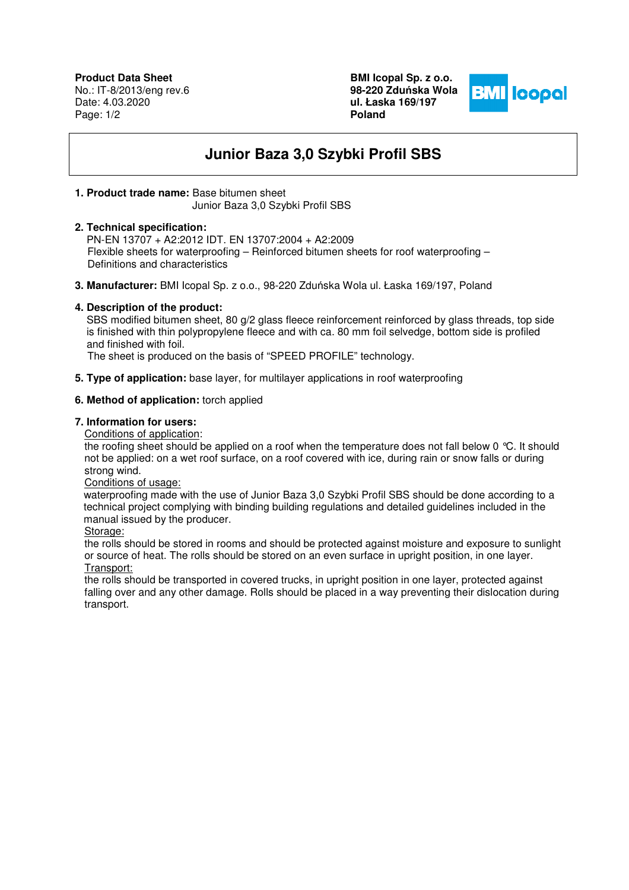**BMI Icopal Sp. z o.o. 98-220 Zdu**ń**ska Wola ul. Łaska 169/197 Poland** 



# **Junior Baza 3,0 Szybki Profil SBS**

## **1. Product trade name:** Base bitumen sheet

Junior Baza 3,0 Szybki Profil SBS

## **2. Technical specification:**

 PN-EN 13707 + A2:2012 IDT. EN 13707:2004 + A2:2009 Flexible sheets for waterproofing – Reinforced bitumen sheets for roof waterproofing – Definitions and characteristics

**3. Manufacturer:** BMI Icopal Sp. z o.o., 98-220 Zduńska Wola ul. Łaska 169/197, Poland

## **4. Description of the product:**

SBS modified bitumen sheet, 80 g/2 glass fleece reinforcement reinforced by glass threads, top side is finished with thin polypropylene fleece and with ca. 80 mm foil selvedge, bottom side is profiled and finished with foil.

The sheet is produced on the basis of "SPEED PROFILE" technology.

**5. Type of application:** base layer, for multilayer applications in roof waterproofing

## **6. Method of application:** torch applied

### **7. Information for users:**

Conditions of application:

the roofing sheet should be applied on a roof when the temperature does not fall below 0 °C. It should not be applied: on a wet roof surface, on a roof covered with ice, during rain or snow falls or during strong wind.

### Conditions of usage:

 waterproofing made with the use of Junior Baza 3,0 Szybki Profil SBS should be done according to a technical project complying with binding building regulations and detailed guidelines included in the manual issued by the producer.

Storage:

the rolls should be stored in rooms and should be protected against moisture and exposure to sunlight or source of heat. The rolls should be stored on an even surface in upright position, in one layer. Transport:

the rolls should be transported in covered trucks, in upright position in one layer, protected against falling over and any other damage. Rolls should be placed in a way preventing their dislocation during transport.